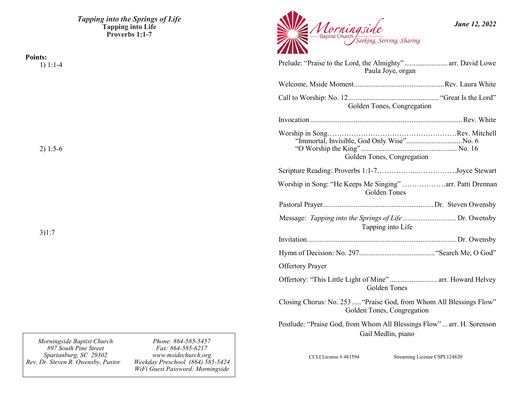*Tapping into the Springs of Life* **Tapping into Life Proverbs 1:1-7**

*Morningside*<br><u>Baptist Church Seeking</u>, Serving, Sharing Prelude: "Praise to the Lord, the Almighty"........................ arr. David Lowe Paula Joye, organ

| Paula Joye, organ                                                                                 |  |  |
|---------------------------------------------------------------------------------------------------|--|--|
|                                                                                                   |  |  |
| Golden Tones, Congregation                                                                        |  |  |
|                                                                                                   |  |  |
| "Immortal, Invisible, God Only Wise"No. 6<br>Golden Tones, Congregation                           |  |  |
|                                                                                                   |  |  |
| Worship in Song: "He Keeps Me Singing" arr. Patti Drennan<br>Golden Tones                         |  |  |
|                                                                                                   |  |  |
| Message: Tapping into the Springs of LifeDr. Owensby<br>Tapping into Life                         |  |  |
|                                                                                                   |  |  |
|                                                                                                   |  |  |
| <b>Offertory Prayer</b>                                                                           |  |  |
| Offertory: "This Little Light of Mine"  arr. Howard Helvey<br>Golden Tones                        |  |  |
| Closing Chorus: No. 253  "Praise God, from Whom All Blessings Flow"<br>Golden Tones, Congregation |  |  |
| Postlude: "Praise God, from Whom All Blessings Flow"  arr. H. Sorenson<br>Gail Medlin, piano      |  |  |

*Fax: 864-585-6217 www.msidechurch.org Weekday Preschool (864) 585-5424*

*Phone: 864-585-5457* 

*WiFi Guest Password: Morningside*

*Morningside Baptist Church 897 South Pine Street Spartanburg, SC 29302 Rev. Dr. Steven R. Owensby, Pastor* 

3)1:7

**Points:**

1) 1:1-4

2) 1:5-6

*June 12, 2022*

CCLI License # 481594 Streaming License CSPL124820